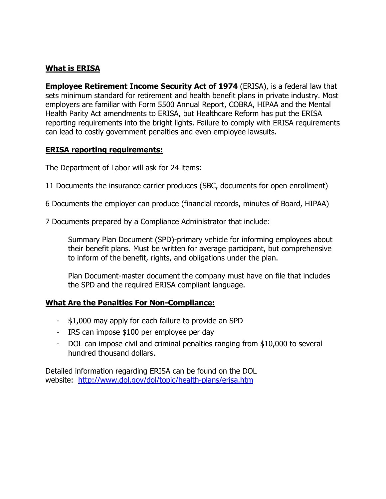## **What is ERISA**

**Employee Retirement Income Security Act of 1974** (ERISA), is a federal law that sets minimum standard for retirement and health benefit plans in private industry. Most employers are familiar with Form 5500 Annual Report, COBRA, HIPAA and the Mental Health Parity Act amendments to ERISA, but Healthcare Reform has put the ERISA reporting requirements into the bright lights. Failure to comply with ERISA requirements can lead to costly government penalties and even employee lawsuits.

## **ERISA reporting requirements:**

The Department of Labor will ask for 24 items:

- 11 Documents the insurance carrier produces (SBC, documents for open enrollment)
- 6 Documents the employer can produce (financial records, minutes of Board, HIPAA)
- 7 Documents prepared by a Compliance Administrator that include:

Summary Plan Document (SPD)-primary vehicle for informing employees about their benefit plans. Must be written for average participant, but comprehensive to inform of the benefit, rights, and obligations under the plan.

Plan Document-master document the company must have on file that includes the SPD and the required ERISA compliant language.

## **What Are the Penalties For Non-Compliance:**

- \$1,000 may apply for each failure to provide an SPD
- IRS can impose \$100 per employee per day
- DOL can impose civil and criminal penalties ranging from \$10,000 to several hundred thousand dollars.

Detailed information regarding ERISA can be found on the DOL website: http://www.dol.gov/dol/topic/health-plans/erisa.htm